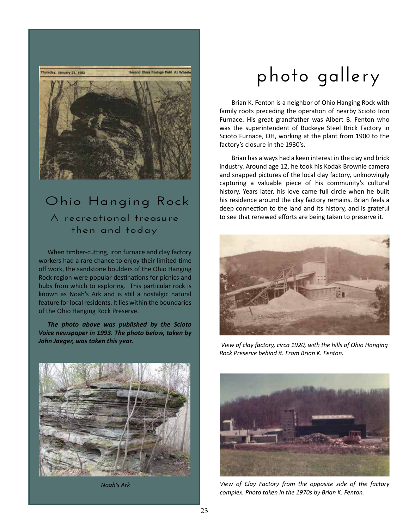

## **Ohio Hanging Rock A recreational treasure then and today**

When timber-cutting, iron furnace and clay factory workers had a rare chance to enjoy their limited time off work, the sandstone boulders of the Ohio Hanging Rock region were popular destinations for picnics and hubs from which to exploring. This particular rock is known as Noah's Ark and is still a nostalgic natural feature for local residents. It lies within the boundaries of the Ohio Hanging Rock Preserve.

*The photo above was published by the Scioto Voice newspaper in 1993. The photo below, taken by John Jaeger, was taken this year.*



*Noah's Ark*

## **photo gallery**

Brian K. Fenton is a neighbor of Ohio Hanging Rock with family roots preceding the operation of nearby Scioto Iron Furnace. His great grandfather was Albert B. Fenton who was the superintendent of Buckeye Steel Brick Factory in Scioto Furnace, OH, working at the plant from 1900 to the factory's closure in the 1930's.

Brian has always had a keen interest in the clay and brick industry. Around age 12, he took his Kodak Brownie camera and snapped pictures of the local clay factory, unknowingly capturing a valuable piece of his community's cultural history. Years later, his love came full circle when he built his residence around the clay factory remains. Brian feels a deep connection to the land and its history, and is grateful to see that renewed efforts are being taken to preserve it.



 *View of clay factory, circa 1920, with the hills of Ohio Hanging Rock Preserve behind it. From Brian K. Fenton.* 



*View of Clay Factory from the opposite side of the factory complex. Photo taken in the 1970s by Brian K. Fenton.*